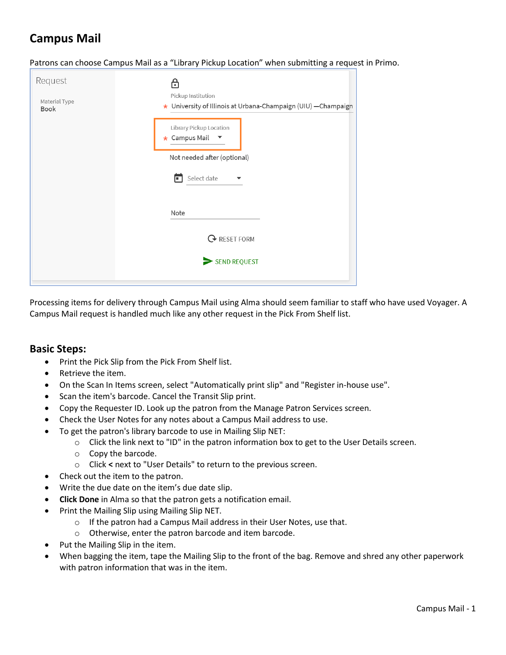# **Campus Mail**

Patrons can choose Campus Mail as a "Library Pickup Location" when submitting a request in Primo.

| Request<br>Material Type<br>Book | Pickup Institution<br>★ University of Illinois at Urbana-Champaign (UIU) -Champaign |
|----------------------------------|-------------------------------------------------------------------------------------|
|                                  | Library Pickup Location<br>* Campus Mail<br>▼                                       |
|                                  | Not needed after (optional)<br>Select date<br>╔<br>▼                                |
|                                  | Note                                                                                |
|                                  | <b>Q</b> RESET FORM                                                                 |
|                                  | SEND REQUEST                                                                        |

Processing items for delivery through Campus Mail using Alma should seem familiar to staff who have used Voyager. A Campus Mail request is handled much like any other request in the Pick From Shelf list.

### **Basic Steps:**

- Print the Pick Slip from the Pick From Shelf list.
- Retrieve the item.
- On the Scan In Items screen, select "Automatically print slip" and "Register in-house use".
- Scan the item's barcode. Cancel the Transit Slip print.
- Copy the Requester ID. Look up the patron from the Manage Patron Services screen.
- Check the User Notes for any notes about a Campus Mail address to use.
- To get the patron's library barcode to use in Mailing Slip NET:
	- $\circ$  Click the link next to "ID" in the patron information box to get to the User Details screen.
	- o Copy the barcode.
	- o Click **<** next to "User Details" to return to the previous screen.
- Check out the item to the patron.
- Write the due date on the item's due date slip.
- **Click Done** in Alma so that the patron gets a notification email.
- Print the Mailing Slip using Mailing Slip NET.
	- o If the patron had a Campus Mail address in their User Notes, use that.
	- o Otherwise, enter the patron barcode and item barcode.
- Put the Mailing Slip in the item.
- When bagging the item, tape the Mailing Slip to the front of the bag. Remove and shred any other paperwork with patron information that was in the item.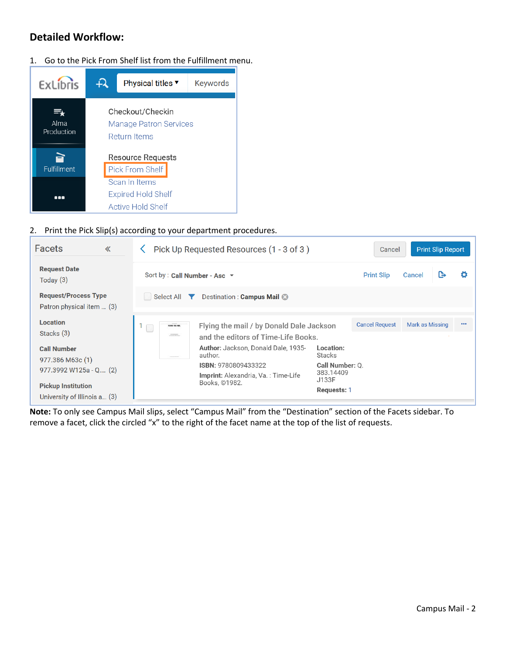## **Detailed Workflow:**

1. Go to the Pick From Shelf list from the Fulfillment menu.



#### 2. Print the Pick Slip(s) according to your department procedures.

| <b>Facets</b><br>$\ll$                                    | Pick Up Requested Resources (1 - 3 of 3)                                                                                    | <b>Print Slip Report</b><br>Cancel              |
|-----------------------------------------------------------|-----------------------------------------------------------------------------------------------------------------------------|-------------------------------------------------|
| <b>Request Date</b><br>Today $(3)$                        | Sort by : Call Number - Asc $\rightarrow$                                                                                   | <b>Print Slip</b><br>Cancel<br>e                |
| <b>Request/Process Type</b><br>Patron physical item  (3)  | Select All <b>Y</b><br>Destination: Campus Mail &                                                                           |                                                 |
| <b>Location</b><br>Stacks (3)                             | Flying the mail / by Donald Dale Jackson<br><b>FLOWN THE HARL</b><br><b>STORES</b><br>and the editors of Time-Life Books.   | <b>Cancel Request</b><br>Mark as Missing<br>000 |
| <b>Call Number</b><br>977.386 M63c (1)                    | Author: Jackson, Donald Dale, 1935-<br>Location:<br>author.<br><b>Stacks</b><br>-----                                       |                                                 |
| 977.3992 W125a - Q (2)                                    | <b>ISBN: 9780809433322</b><br>Call Number: Q.<br>383.14409<br>Imprint: Alexandria, Va.: Time-Life<br>J133F<br>Books, ©1982. |                                                 |
| <b>Pickup Institution</b><br>University of Illinois a (3) | Requests: 1                                                                                                                 |                                                 |

**Note:** To only see Campus Mail slips, select "Campus Mail" from the "Destination" section of the Facets sidebar. To remove a facet, click the circled "x" to the right of the facet name at the top of the list of requests.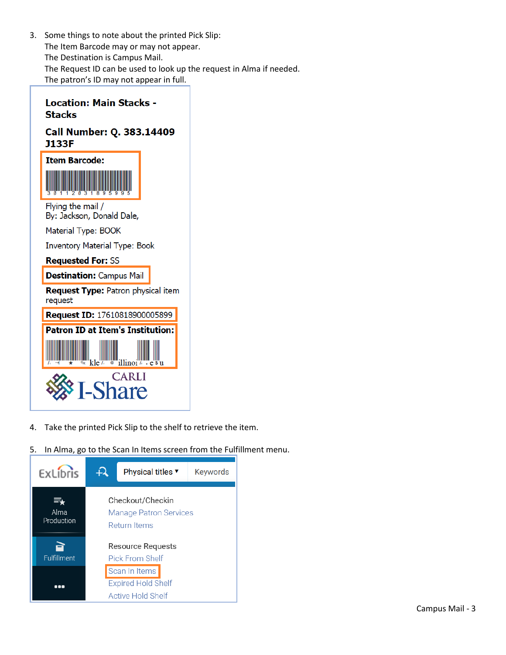3. Some things to note about the printed Pick Slip: The Item Barcode may or may not appear. The Destination is Campus Mail. The Request ID can be used to look up the request in Alma if needed. The patron's ID may not appear in full.

| Location: Main Stacks -<br>Stacks                    |  |  |  |  |  |  |  |
|------------------------------------------------------|--|--|--|--|--|--|--|
| Call Number: Q. 383.14409<br><b>J133F</b>            |  |  |  |  |  |  |  |
| <b>Item Barcode:</b>                                 |  |  |  |  |  |  |  |
| Flying the mail /<br>By: Jackson, Donald Dale,       |  |  |  |  |  |  |  |
| Material Type: BOOK                                  |  |  |  |  |  |  |  |
| <b>Inventory Material Type: Book</b>                 |  |  |  |  |  |  |  |
| <b>Requested For: SS</b>                             |  |  |  |  |  |  |  |
| <b>Destination: Campus Mail</b>                      |  |  |  |  |  |  |  |
| <b>Request Type:</b> Patron physical item<br>request |  |  |  |  |  |  |  |
| Request ID: 17610818900005899                        |  |  |  |  |  |  |  |
| <b>Patron ID at Item's Institution:</b>              |  |  |  |  |  |  |  |
|                                                      |  |  |  |  |  |  |  |
| <b>CARLI</b><br>-Sh:                                 |  |  |  |  |  |  |  |

- 4. Take the printed Pick Slip to the shelf to retrieve the item.
- 5. In Alma, go to the Scan In Items screen from the Fulfillment menu.

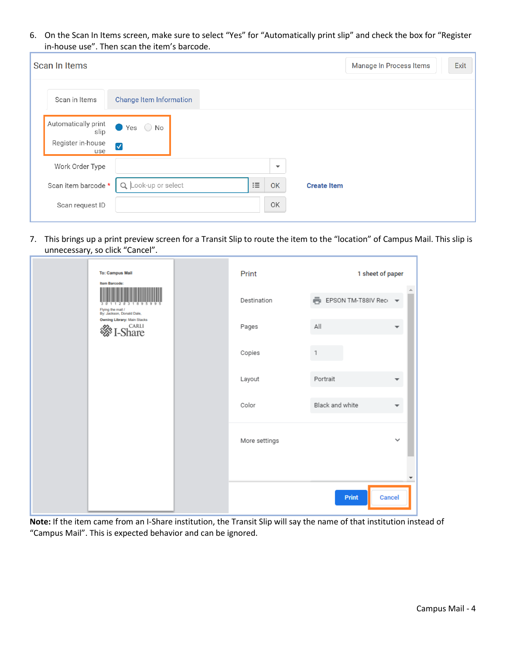6. On the Scan In Items screen, make sure to select "Yes" for "Automatically print slip" and check the box for "Register in-house use". Then scan the item's barcode.

| Scan In Items                                           |                                                  |          |                          | Manage In Process Items | Exit |
|---------------------------------------------------------|--------------------------------------------------|----------|--------------------------|-------------------------|------|
| Scan in Items                                           | <b>Change Item Information</b>                   |          |                          |                         |      |
| Automatically print<br>slip<br>Register in-house<br>use | $\bullet$ Yes $\circ$ No<br>$\blacktriangledown$ |          |                          |                         |      |
| Work Order Type                                         |                                                  |          | $\overline{\phantom{a}}$ |                         |      |
| Scan item barcode *                                     | Look-up or select<br>Q                           | $\equiv$ | <b>OK</b>                | <b>Create Item</b>      |      |
| Scan request ID                                         |                                                  |          | OK                       |                         |      |

7. This brings up a print preview screen for a Transit Slip to route the item to the "location" of Campus Mail. This slip is unnecessary, so click "Cancel".

| <b>To: Campus Mail</b><br>Item Barcode:<br>959<br>-2-8<br>-81<br>Flying the mail /<br>By: Jackson, Donald Dale, | Print<br>Destination | 1 sheet of paper<br>FBI EPSON TM-T88IV Reci | $\overline{\phantom{a}}$ |
|-----------------------------------------------------------------------------------------------------------------|----------------------|---------------------------------------------|--------------------------|
| <b>Owning Library: Main Stacks</b><br><b>※ I-Share</b>                                                          | Pages                | All                                         |                          |
|                                                                                                                 | Copies               |                                             |                          |
|                                                                                                                 | Layout               | Portrait                                    |                          |
|                                                                                                                 | Color                | Black and white                             | ▼                        |
|                                                                                                                 | More settings        |                                             | $\checkmark$             |
|                                                                                                                 |                      |                                             |                          |
|                                                                                                                 |                      | Print<br>Cancel                             |                          |

**Note:** If the item came from an I-Share institution, the Transit Slip will say the name of that institution instead of "Campus Mail". This is expected behavior and can be ignored.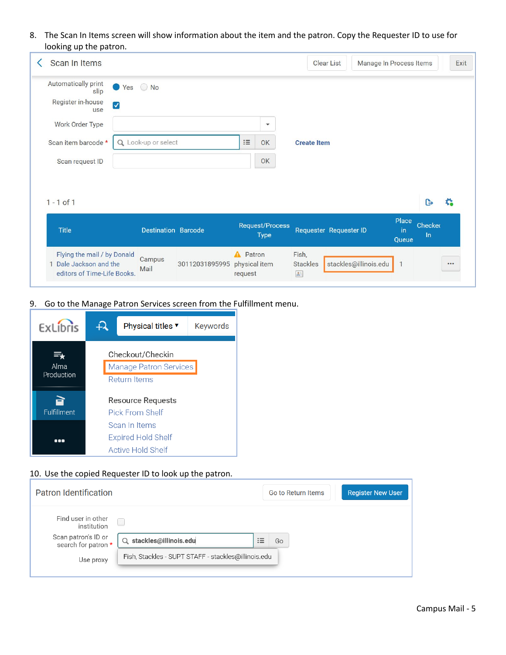8. The Scan In Items screen will show information about the item and the patron. Copy the Requester ID to use for looking up the patron.

| Scan In Items                                                                   |                            |                                       | <b>Clear List</b>      | Manage In Process Items |                  | Exit |
|---------------------------------------------------------------------------------|----------------------------|---------------------------------------|------------------------|-------------------------|------------------|------|
| Automatically print<br>slip<br>Register in-house<br>$\blacktriangledown$<br>use | $\bigcirc$ No<br>Yes       |                                       |                        |                         |                  |      |
| Work Order Type                                                                 |                            | $\mathbf{v}$                          |                        |                         |                  |      |
| Scan item barcode *                                                             | Q Look-up or select        | $\mathrel{\mathop:}=$<br>OK           | <b>Create Item</b>     |                         |                  |      |
| Scan request ID                                                                 |                            | OK                                    |                        |                         |                  |      |
|                                                                                 |                            |                                       |                        |                         |                  |      |
|                                                                                 |                            |                                       |                        |                         |                  |      |
| $1 - 1$ of 1                                                                    |                            |                                       |                        |                         | $\mathsf{R}$     | ≎    |
| <b>Title</b>                                                                    | <b>Destination Barcode</b> | <b>Request/Process</b><br><b>Type</b> | Requester Requester ID | Place<br>in<br>Queue    | Checker<br>$\ln$ |      |

9. Go to the Manage Patron Services screen from the Fulfillment menu.



#### 10. Use the copied Requester ID to look up the patron.

| <b>Patron Identification</b>                                                    |                                                     |                                  |    | Go to Return Items | <b>Register New User</b> |
|---------------------------------------------------------------------------------|-----------------------------------------------------|----------------------------------|----|--------------------|--------------------------|
| Find user in other<br>institution<br>Scan patron's ID or<br>search for patron * | stackles@illinois.edu<br>$\alpha$                   | $\overline{\phantom{a}}$<br>$:=$ | Go |                    |                          |
| Use proxy                                                                       | Fish, Stackles - SUPT STAFF - stackles@illinois.edu |                                  |    |                    |                          |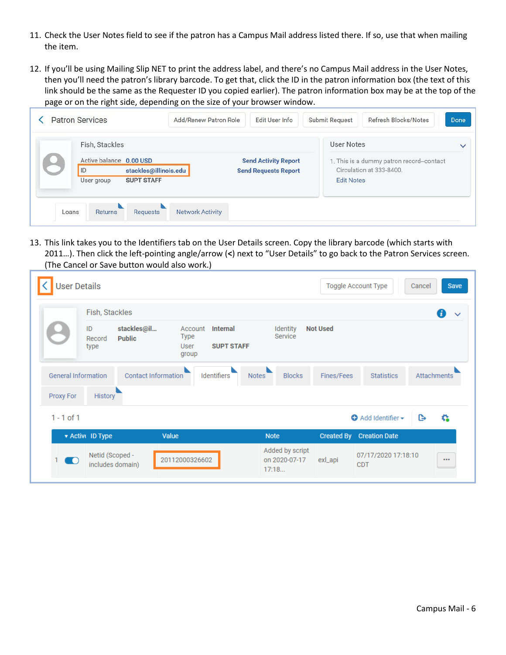- 11. Check the User Notes field to see if the patron has a Campus Mail address listed there. If so, use that when mailing the item.
- 12. If you'll be using Mailing Slip NET to print the address label, and there's no Campus Mail address in the User Notes, then you'll need the patron's library barcode. To get that, click the ID in the patron information box (the text of this link should be the same as the Requester ID you copied earlier). The patron information box may be at the top of the page or on the right side, depending on the size of your browser window.

| Fish, Stackles                                         |                                                            | <b>User Notes</b>                                                    | $\checkmark$ |
|--------------------------------------------------------|------------------------------------------------------------|----------------------------------------------------------------------|--------------|
| Active balance 0.00 USD<br>ID<br>stackles@illinois.edu | <b>Send Activity Report</b><br><b>Send Requests Report</b> | 1. This is a dummy patron record-contact<br>Circulation at 333-8400. |              |
| <b>SUPT STAFF</b><br>User group                        |                                                            | <b>Edit Notes</b>                                                    |              |

13. This link takes you to the Identifiers tab on the User Details screen. Copy the library barcode (which starts with 2011…). Then click the left-pointing angle/arrow (**<**) next to "User Details" to go back to the Patron Services screen. (The Cancel or Save button would also work.)

| <b>User Details</b>        |                      |                              |                                         |                                      |                                           |                   | Toggle Account Type               | Cancel | <b>Save</b>        |
|----------------------------|----------------------|------------------------------|-----------------------------------------|--------------------------------------|-------------------------------------------|-------------------|-----------------------------------|--------|--------------------|
|                            | Fish, Stackles       |                              |                                         |                                      |                                           |                   |                                   |        | $\checkmark$       |
|                            | ID<br>Record<br>type | stackles@il<br><b>Public</b> | Account<br><b>Type</b><br>User<br>group | <b>Internal</b><br><b>SUPT STAFF</b> | Identity<br>Service                       | <b>Not Used</b>   |                                   |        |                    |
| <b>General Information</b> |                      | Contact Information          |                                         | Identifiers<br><b>Notes</b>          | <b>Blocks</b>                             | Fines/Fees        | <b>Statistics</b>                 |        | <b>Attachments</b> |
| Proxy For                  | <b>History</b>       |                              |                                         |                                      |                                           |                   |                                   |        |                    |
| $1 - 1$ of 1               |                      |                              |                                         |                                      |                                           |                   | $\bullet$ Add Identifier $\sim$   | G      | c.                 |
|                            | ▼ Active ID Type     | Value                        |                                         |                                      | <b>Note</b>                               | <b>Created By</b> | <b>Creation Date</b>              |        |                    |
| - 0                        | Netid (Scoped -      | includes domain)             | 20112000326602                          |                                      | Added by script<br>on 2020-07-17<br>17:18 | exl_api           | 07/17/2020 17:18:10<br><b>CDT</b> |        | $$                 |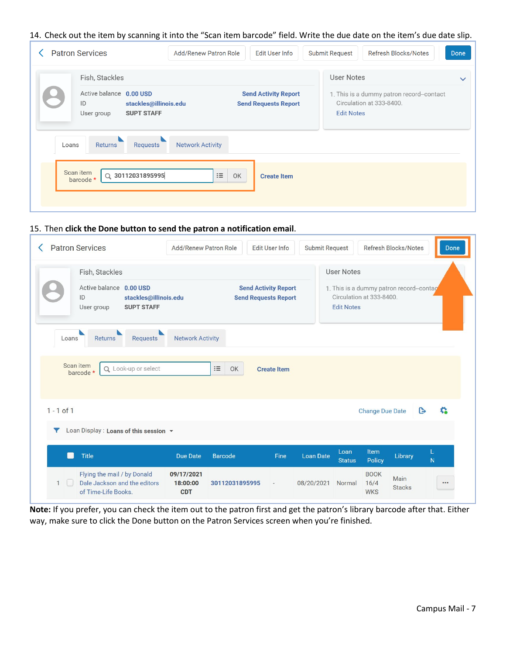#### 14. Check out the item by scanning it into the "Scan item barcode" field. Write the due date on the item's due date slip.

|       | <b>Patron Services</b><br>Fish, Stackles                                                  | <b>Add/Renew Patron Role</b>        | <b>Edit User Info</b>                                      | <b>Submit Request</b><br><b>Refresh Blocks/Notes</b><br><b>User Notes</b>                 | <b>Done</b><br>$\checkmark$ |
|-------|-------------------------------------------------------------------------------------------|-------------------------------------|------------------------------------------------------------|-------------------------------------------------------------------------------------------|-----------------------------|
|       | Active balance 0.00 USD<br>ID<br>stackles@illinois.edu<br><b>SUPT STAFF</b><br>User group |                                     | <b>Send Activity Report</b><br><b>Send Requests Report</b> | 1. This is a dummy patron record-contact<br>Circulation at 333-8400.<br><b>Edit Notes</b> |                             |
| Loans | Returns<br>Requests<br>Scan item<br>Q 30112031895995<br>barcode *                         | <b>Network Activity</b><br>$\equiv$ | OK<br><b>Create Item</b>                                   |                                                                                           |                             |

#### 15. Then **click the Done button to send the patron a notification email**.

|                | <b>Patron Services</b>                                                                    | Add/Renew Patron Role   |                | <b>Edit User Info</b>                                      | <b>Submit Request</b> |                       |                                                                     | Refresh Blocks/Notes |   | Done |
|----------------|-------------------------------------------------------------------------------------------|-------------------------|----------------|------------------------------------------------------------|-----------------------|-----------------------|---------------------------------------------------------------------|----------------------|---|------|
|                | Fish, Stackles                                                                            |                         |                |                                                            |                       | <b>User Notes</b>     |                                                                     |                      |   |      |
|                | Active balance 0.00 USD<br>ID<br>stackles@illinois.edu<br><b>SUPT STAFF</b><br>User group |                         |                | <b>Send Activity Report</b><br><b>Send Requests Report</b> |                       | <b>Edit Notes</b>     | 1. This is a dummy patron record-contag<br>Circulation at 333-8400. |                      |   |      |
| Loans          | Requests<br><b>Returns</b><br>Scan item<br>Q Look-up or select<br>barcode *               | <b>Network Activity</b> | $\equiv$<br>OK | <b>Create Item</b>                                         |                       |                       |                                                                     |                      |   |      |
| $1 - 1$ of $1$ |                                                                                           |                         |                |                                                            |                       |                       | <b>Change Due Date</b>                                              |                      | B | G    |
|                |                                                                                           |                         |                |                                                            |                       |                       |                                                                     |                      |   |      |
| Y              | Loan Display: Loans of this session v                                                     |                         |                |                                                            |                       |                       |                                                                     |                      |   |      |
| m              | <b>Title</b>                                                                              | <b>Due Date</b>         | <b>Barcode</b> | Fine                                                       | <b>Loan Date</b>      | Loan<br><b>Status</b> | Item<br><b>Policy</b>                                               | Library              | N |      |

**Note:** If you prefer, you can check the item out to the patron first and get the patron's library barcode after that. Either way, make sure to click the Done button on the Patron Services screen when you're finished.